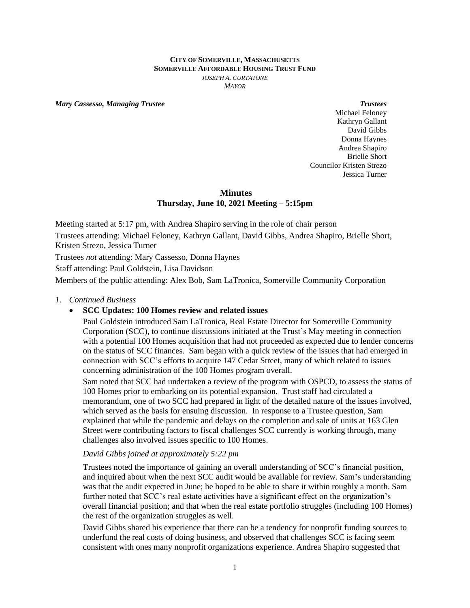#### **CITY OF SOMERVILLE, MASSACHUSETTS SOMERVILLE AFFORDABLE HOUSING TRUST FUND** *JOSEPH A. CURTATONE MAYOR*

*Mary Cassesso, Managing Trustee Trustees*

Michael Feloney Kathryn Gallant David Gibbs Donna Haynes Andrea Shapiro Brielle Short Councilor Kristen Strezo Jessica Turner

# **Minutes Thursday, June 10, 2021 Meeting – 5:15pm**

Meeting started at 5:17 pm, with Andrea Shapiro serving in the role of chair person Trustees attending: Michael Feloney, Kathryn Gallant, David Gibbs, Andrea Shapiro, Brielle Short, Kristen Strezo, Jessica Turner

Trustees *not* attending: Mary Cassesso, Donna Haynes

Staff attending: Paul Goldstein, Lisa Davidson

Members of the public attending: Alex Bob, Sam LaTronica, Somerville Community Corporation

### *1. Continued Business*

# **SCC Updates: 100 Homes review and related issues**

Paul Goldstein introduced Sam LaTronica, Real Estate Director for Somerville Community Corporation (SCC), to continue discussions initiated at the Trust's May meeting in connection with a potential 100 Homes acquisition that had not proceeded as expected due to lender concerns on the status of SCC finances. Sam began with a quick review of the issues that had emerged in connection with SCC's efforts to acquire 147 Cedar Street, many of which related to issues concerning administration of the 100 Homes program overall.

Sam noted that SCC had undertaken a review of the program with OSPCD, to assess the status of 100 Homes prior to embarking on its potential expansion. Trust staff had circulated a memorandum, one of two SCC had prepared in light of the detailed nature of the issues involved, which served as the basis for ensuing discussion. In response to a Trustee question, Sam explained that while the pandemic and delays on the completion and sale of units at 163 Glen Street were contributing factors to fiscal challenges SCC currently is working through, many challenges also involved issues specific to 100 Homes.

#### *David Gibbs joined at approximately 5:22 pm*

Trustees noted the importance of gaining an overall understanding of SCC's financial position, and inquired about when the next SCC audit would be available for review. Sam's understanding was that the audit expected in June; he hoped to be able to share it within roughly a month. Sam further noted that SCC's real estate activities have a significant effect on the organization's overall financial position; and that when the real estate portfolio struggles (including 100 Homes) the rest of the organization struggles as well.

David Gibbs shared his experience that there can be a tendency for nonprofit funding sources to underfund the real costs of doing business, and observed that challenges SCC is facing seem consistent with ones many nonprofit organizations experience. Andrea Shapiro suggested that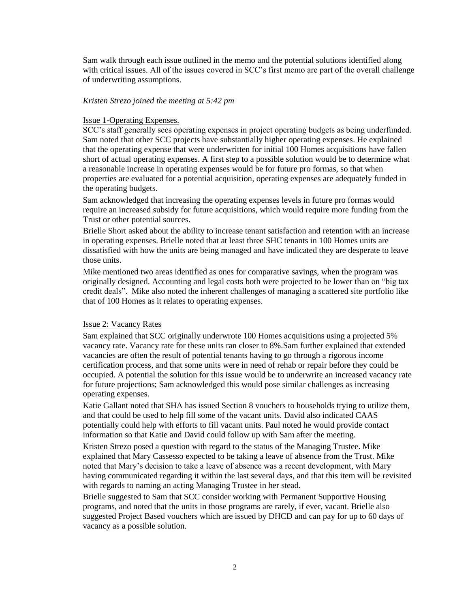Sam walk through each issue outlined in the memo and the potential solutions identified along with critical issues. All of the issues covered in SCC's first memo are part of the overall challenge of underwriting assumptions.

## *Kristen Strezo joined the meeting at 5:42 pm*

#### Issue 1-Operating Expenses.

SCC's staff generally sees operating expenses in project operating budgets as being underfunded. Sam noted that other SCC projects have substantially higher operating expenses. He explained that the operating expense that were underwritten for initial 100 Homes acquisitions have fallen short of actual operating expenses. A first step to a possible solution would be to determine what a reasonable increase in operating expenses would be for future pro formas, so that when properties are evaluated for a potential acquisition, operating expenses are adequately funded in the operating budgets.

Sam acknowledged that increasing the operating expenses levels in future pro formas would require an increased subsidy for future acquisitions, which would require more funding from the Trust or other potential sources.

Brielle Short asked about the ability to increase tenant satisfaction and retention with an increase in operating expenses. Brielle noted that at least three SHC tenants in 100 Homes units are dissatisfied with how the units are being managed and have indicated they are desperate to leave those units.

Mike mentioned two areas identified as ones for comparative savings, when the program was originally designed. Accounting and legal costs both were projected to be lower than on "big tax credit deals". Mike also noted the inherent challenges of managing a scattered site portfolio like that of 100 Homes as it relates to operating expenses.

# Issue 2: Vacancy Rates

Sam explained that SCC originally underwrote 100 Homes acquisitions using a projected 5% vacancy rate. Vacancy rate for these units ran closer to 8%.Sam further explained that extended vacancies are often the result of potential tenants having to go through a rigorous income certification process, and that some units were in need of rehab or repair before they could be occupied. A potential the solution for this issue would be to underwrite an increased vacancy rate for future projections; Sam acknowledged this would pose similar challenges as increasing operating expenses.

Katie Gallant noted that SHA has issued Section 8 vouchers to households trying to utilize them, and that could be used to help fill some of the vacant units. David also indicated CAAS potentially could help with efforts to fill vacant units. Paul noted he would provide contact information so that Katie and David could follow up with Sam after the meeting.

Kristen Strezo posed a question with regard to the status of the Managing Trustee. Mike explained that Mary Cassesso expected to be taking a leave of absence from the Trust. Mike noted that Mary's decision to take a leave of absence was a recent development, with Mary having communicated regarding it within the last several days, and that this item will be revisited with regards to naming an acting Managing Trustee in her stead.

Brielle suggested to Sam that SCC consider working with Permanent Supportive Housing programs, and noted that the units in those programs are rarely, if ever, vacant. Brielle also suggested Project Based vouchers which are issued by DHCD and can pay for up to 60 days of vacancy as a possible solution.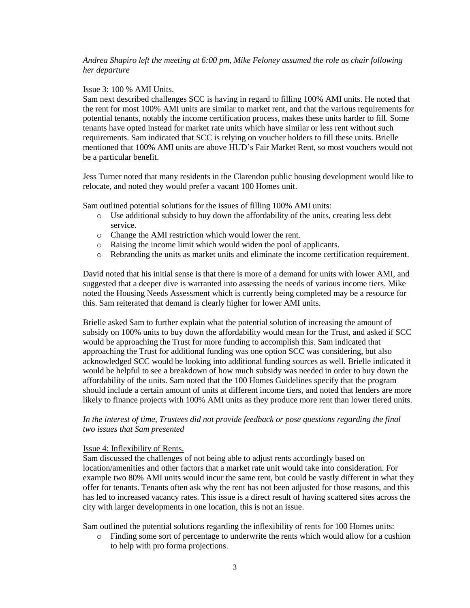## *Andrea Shapiro left the meeting at 6:00 pm, Mike Feloney assumed the role as chair following her departure*

## Issue 3: 100 % AMI Units.

Sam next described challenges SCC is having in regard to filling 100% AMI units. He noted that the rent for most 100% AMI units are similar to market rent, and that the various requirements for potential tenants, notably the income certification process, makes these units harder to fill. Some tenants have opted instead for market rate units which have similar or less rent without such requirements. Sam indicated that SCC is relying on voucher holders to fill these units. Brielle mentioned that 100% AMI units are above HUD's Fair Market Rent, so most vouchers would not be a particular benefit.

Jess Turner noted that many residents in the Clarendon public housing development would like to relocate, and noted they would prefer a vacant 100 Homes unit.

Sam outlined potential solutions for the issues of filling 100% AMI units:

- o Use additional subsidy to buy down the affordability of the units, creating less debt service.
- o Change the AMI restriction which would lower the rent.
- o Raising the income limit which would widen the pool of applicants.
- o Rebranding the units as market units and eliminate the income certification requirement.

David noted that his initial sense is that there is more of a demand for units with lower AMI, and suggested that a deeper dive is warranted into assessing the needs of various income tiers. Mike noted the Housing Needs Assessment which is currently being completed may be a resource for this. Sam reiterated that demand is clearly higher for lower AMI units.

Brielle asked Sam to further explain what the potential solution of increasing the amount of subsidy on 100% units to buy down the affordability would mean for the Trust, and asked if SCC would be approaching the Trust for more funding to accomplish this. Sam indicated that approaching the Trust for additional funding was one option SCC was considering, but also acknowledged SCC would be looking into additional funding sources as well. Brielle indicated it would be helpful to see a breakdown of how much subsidy was needed in order to buy down the affordability of the units. Sam noted that the 100 Homes Guidelines specify that the program should include a certain amount of units at different income tiers, and noted that lenders are more likely to finance projects with 100% AMI units as they produce more rent than lower tiered units.

In the interest of time, Trustees did not provide feedback or pose questions regarding the final *two issues that Sam presented*

#### Issue 4: Inflexibility of Rents.

Sam discussed the challenges of not being able to adjust rents accordingly based on location/amenities and other factors that a market rate unit would take into consideration. For example two 80% AMI units would incur the same rent, but could be vastly different in what they offer for tenants. Tenants often ask why the rent has not been adjusted for those reasons, and this has led to increased vacancy rates. This issue is a direct result of having scattered sites across the city with larger developments in one location, this is not an issue.

Sam outlined the potential solutions regarding the inflexibility of rents for 100 Homes units:

o Finding some sort of percentage to underwrite the rents which would allow for a cushion to help with pro forma projections.